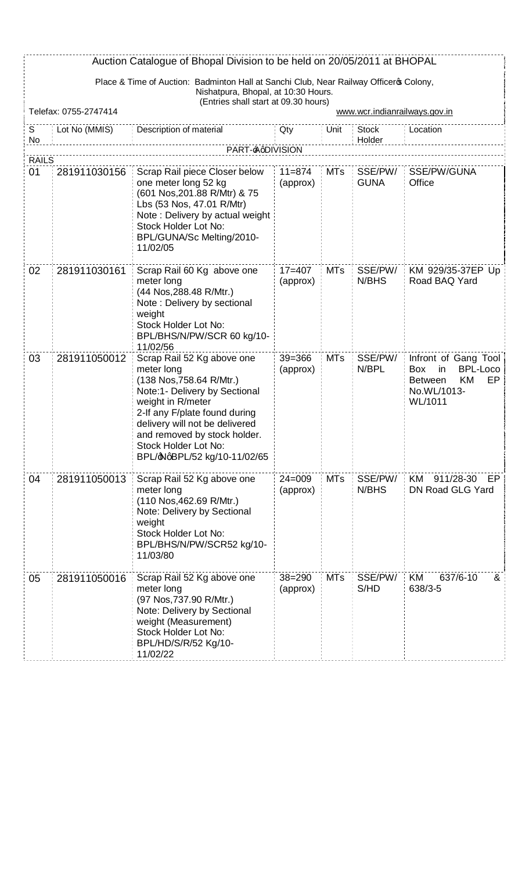|                    | Auction Catalogue of Bhopal Division to be held on 20/05/2011 at BHOPAL                                                       |                                                                                                                                                                                                                                                                                       |                        |            |                               |                                                                                                        |  |  |  |
|--------------------|-------------------------------------------------------------------------------------------------------------------------------|---------------------------------------------------------------------------------------------------------------------------------------------------------------------------------------------------------------------------------------------------------------------------------------|------------------------|------------|-------------------------------|--------------------------------------------------------------------------------------------------------|--|--|--|
|                    | Place & Time of Auction: Badminton Hall at Sanchi Club, Near Railway Officeros Colony,<br>Nishatpura, Bhopal, at 10:30 Hours. |                                                                                                                                                                                                                                                                                       |                        |            |                               |                                                                                                        |  |  |  |
|                    | Telefax: 0755-2747414                                                                                                         | (Entries shall start at 09.30 hours)                                                                                                                                                                                                                                                  |                        |            | www.wcr.indianrailways.gov.in |                                                                                                        |  |  |  |
| S<br>No            | Lot No (MMIS)                                                                                                                 | Description of material                                                                                                                                                                                                                                                               | Qty                    | Unit       | <b>Stock</b><br>Holder        | Location                                                                                               |  |  |  |
|                    |                                                                                                                               | PART- <del>A</del> qDIVISION                                                                                                                                                                                                                                                          |                        |            |                               |                                                                                                        |  |  |  |
| <b>RAILS</b><br>01 | 281911030156                                                                                                                  | Scrap Rail piece Closer below<br>one meter long 52 kg<br>(601 Nos, 201.88 R/Mtr) & 75<br>Lbs (53 Nos, 47.01 R/Mtr)<br>Note: Delivery by actual weight<br>Stock Holder Lot No:<br>BPL/GUNA/Sc Melting/2010-<br>11/02/05                                                                | $11 = 874$<br>(approx) | <b>MTs</b> | SSE/PW/<br><b>GUNA</b>        | SSE/PW/GUNA<br>Office                                                                                  |  |  |  |
| 02                 | 281911030161                                                                                                                  | Scrap Rail 60 Kg above one<br>meter long<br>(44 Nos, 288.48 R/Mtr.)<br>Note: Delivery by sectional<br>weight<br>Stock Holder Lot No:<br>BPL/BHS/N/PW/SCR 60 kg/10-<br>11/02/56                                                                                                        | $17 = 407$<br>(approx) | MTs        | SSE/PW/<br>N/BHS              | KM 929/35-37EP Up<br>Road BAQ Yard                                                                     |  |  |  |
| 03                 | 281911050012                                                                                                                  | Scrap Rail 52 Kg above one<br>meter long<br>(138 Nos, 758.64 R/Mtr.)<br>Note:1- Delivery by Sectional<br>weight in R/meter<br>2-If any F/plate found during<br>delivery will not be delivered<br>and removed by stock holder.<br>Stock Holder Lot No:<br>BPL/@NqBPL/52 kg/10-11/02/65 | $39 = 366$<br>(approx) | <b>MTs</b> | SSE/PW/<br>N/BPL              | Infront of Gang Tool<br>BPL-Loco<br>Box<br>in.<br>KM<br>EP<br><b>Between</b><br>No.WL/1013-<br>WL/1011 |  |  |  |
| 04                 | 281911050013                                                                                                                  | Scrap Rail 52 Kg above one<br>meter long<br>(110 Nos, 462.69 R/Mtr.)<br>Note: Delivery by Sectional<br>weight<br>Stock Holder Lot No:<br>BPL/BHS/N/PW/SCR52 kg/10-<br>11/03/80                                                                                                        | $24 = 009$<br>(approx) | <b>MTs</b> | SSE/PW/<br>N/BHS              | 911/28-30<br>KM<br>EP  <br>DN Road GLG Yard                                                            |  |  |  |
| 05                 | 281911050016                                                                                                                  | Scrap Rail 52 Kg above one<br>meter long<br>(97 Nos, 737.90 R/Mtr.)<br>Note: Delivery by Sectional<br>weight (Measurement)<br>Stock Holder Lot No:<br>BPL/HD/S/R/52 Kg/10-<br>11/02/22                                                                                                | $38 = 290$<br>(approx) | <b>MTs</b> | SSE/PW/<br>S/HD               | KM<br>637/6-10<br>&<br>638/3-5                                                                         |  |  |  |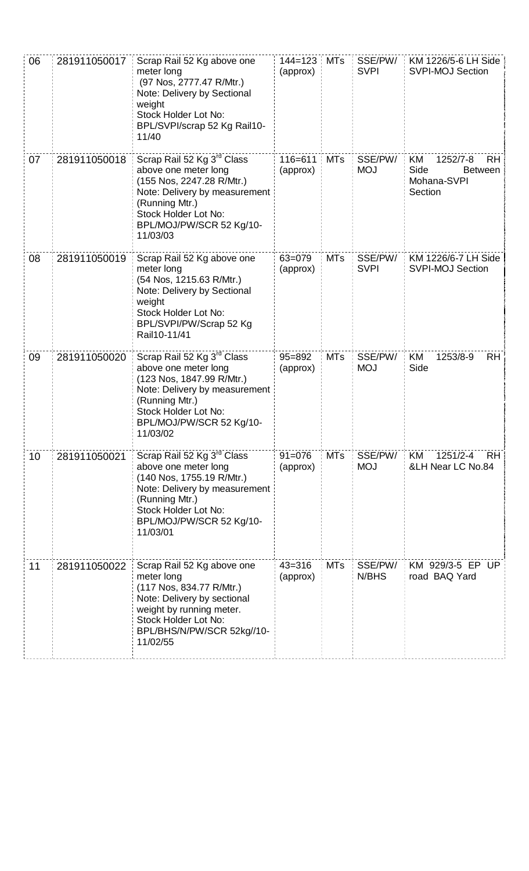| 06 | 281911050017 | Scrap Rail 52 Kg above one<br>meter long<br>(97 Nos, 2777.47 R/Mtr.)<br>Note: Delivery by Sectional<br>weight<br>Stock Holder Lot No:<br>BPL/SVPI/scrap 52 Kg Rail10-<br>11/40                                 | $144 = 123$<br>(approx) | <b>MTs</b> | SSE/PW/<br><b>SVPI</b> | KM 1226/5-6 LH Side<br><b>SVPI-MOJ Section</b>                           |
|----|--------------|----------------------------------------------------------------------------------------------------------------------------------------------------------------------------------------------------------------|-------------------------|------------|------------------------|--------------------------------------------------------------------------|
| 07 | 281911050018 | Scrap Rail 52 Kg 3 <sup>rd</sup> Class<br>above one meter long<br>(155 Nos, 2247.28 R/Mtr.)<br>Note: Delivery by measurement<br>(Running Mtr.)<br>Stock Holder Lot No:<br>BPL/MOJ/PW/SCR 52 Kg/10-<br>11/03/03 | $116 = 611$<br>(approx) | <b>MTs</b> | SSE/PW/<br><b>MOJ</b>  | 1252/7-8<br><b>RH</b><br>KM<br>Side<br>Between<br>Mohana-SVPI<br>Section |
| 08 | 281911050019 | Scrap Rail 52 Kg above one<br>meter long<br>(54 Nos, 1215.63 R/Mtr.)<br>Note: Delivery by Sectional<br>weight<br>Stock Holder Lot No:<br>BPL/SVPI/PW/Scrap 52 Kg<br>Rail10-11/41                               | 63=079<br>(approx)      | <b>MTs</b> | SSE/PW/<br><b>SVPI</b> | KM 1226/6-7 LH Side<br><b>SVPI-MOJ Section</b>                           |
| 09 | 281911050020 | Scrap Rail 52 Kg 3 <sup>rd</sup> Class<br>above one meter long<br>(123 Nos, 1847.99 R/Mtr.)<br>Note: Delivery by measurement<br>(Running Mtr.)<br>Stock Holder Lot No:<br>BPL/MOJ/PW/SCR 52 Kg/10-<br>11/03/02 | $95 = 892$<br>(approx)  | <b>MTs</b> | SSE/PW/<br><b>MOJ</b>  | 1253/8-9<br><b>RH</b><br>KM<br>Side                                      |
| 10 | 281911050021 | Scrap Rail 52 Kg 3 <sup>rd</sup> Class<br>above one meter long<br>(140 Nos, 1755.19 R/Mtr.)<br>Note: Delivery by measurement<br>(Running Mtr.)<br>Stock Holder Lot No:<br>BPL/MOJ/PW/SCR 52 Kg/10-<br>11/03/01 | $91 = 076$<br>(approx)  | <b>MTs</b> | SSE/PW/<br><b>MOJ</b>  | 1251/2-4<br>RH.<br>KM.<br>&LH Near LC No.84                              |
| 11 | 281911050022 | Scrap Rail 52 Kg above one<br>meter long<br>(117 Nos, 834.77 R/Mtr.)<br>Note: Delivery by sectional<br>weight by running meter.<br>Stock Holder Lot No:<br>BPL/BHS/N/PW/SCR 52kg//10-<br>11/02/55              | $43 = 316$<br>(approx)  | <b>MTs</b> | SSE/PW/<br>N/BHS       | KM 929/3-5 EP UP<br>road BAQ Yard                                        |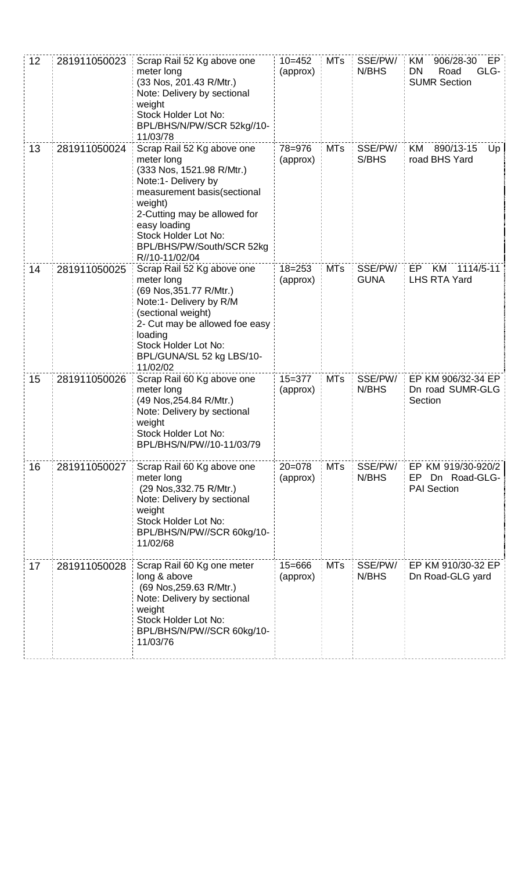| 12 | 281911050023 | Scrap Rail 52 Kg above one<br>meter long<br>(33 Nos, 201.43 R/Mtr.)<br>Note: Delivery by sectional<br>weight<br>Stock Holder Lot No:<br>BPL/BHS/N/PW/SCR 52kg//10-<br>11/03/78                                                                                | $10 = 452$<br>(approx) | <b>MTs</b> | SSE/PW/<br>N/BHS       | 906/28-30<br>ΚM<br>EP<br>GLG-<br><b>DN</b><br>Road<br><b>SUMR Section</b> |
|----|--------------|---------------------------------------------------------------------------------------------------------------------------------------------------------------------------------------------------------------------------------------------------------------|------------------------|------------|------------------------|---------------------------------------------------------------------------|
| 13 | 281911050024 | Scrap Rail 52 Kg above one<br>meter long<br>(333 Nos, 1521.98 R/Mtr.)<br>Note:1- Delivery by<br>measurement basis(sectional<br>weight)<br>2-Cutting may be allowed for<br>easy loading<br>Stock Holder Lot No:<br>BPL/BHS/PW/South/SCR 52kg<br>R//10-11/02/04 | 78=976<br>(approx)     | <b>MTs</b> | SSE/PW/<br>S/BHS       | 890/13-15<br>KM<br>Up<br>road BHS Yard                                    |
| 14 | 281911050025 | Scrap Rail 52 Kg above one<br>meter long<br>(69 Nos, 351.77 R/Mtr.)<br>Note:1- Delivery by R/M<br>(sectional weight)<br>2- Cut may be allowed foe easy<br>loading<br>Stock Holder Lot No:<br>BPL/GUNA/SL 52 kg LBS/10-<br>11/02/02                            | $18 = 253$<br>(approx) | <b>MTs</b> | SSE/PW/<br><b>GUNA</b> | KM<br>1114/5-11<br>EP<br><b>LHS RTA Yard</b>                              |
| 15 | 281911050026 | Scrap Rail 60 Kg above one<br>meter long<br>(49 Nos, 254.84 R/Mtr.)<br>Note: Delivery by sectional<br>weight<br>Stock Holder Lot No:<br>BPL/BHS/N/PW//10-11/03/79                                                                                             | $15 = 377$<br>(approx) | <b>MTs</b> | SSE/PW/<br>N/BHS       | EP KM 906/32-34 EP<br>Dn road SUMR-GLG<br>Section                         |
| 16 | 281911050027 | Scrap Rail 60 Kg above one<br>meter long<br>(29 Nos, 332.75 R/Mtr.)<br>Note: Delivery by sectional<br>weight<br>Stock Holder Lot No:<br>BPL/BHS/N/PW//SCR 60kg/10-<br>11/02/68                                                                                | $20=078$<br>(approx)   | <b>MTs</b> | SSE/PW/<br>N/BHS       | EP KM 919/30-920/2<br>Dn Road-GLG-<br>EP.<br><b>PAI Section</b>           |
| 17 | 281911050028 | Scrap Rail 60 Kg one meter<br>long & above<br>(69 Nos, 259.63 R/Mtr.)<br>Note: Delivery by sectional<br>weight<br>Stock Holder Lot No:<br>BPL/BHS/N/PW//SCR 60kg/10-<br>11/03/76                                                                              | $15 = 666$<br>(approx) | <b>MTs</b> | SSE/PW/<br>N/BHS       | EP KM 910/30-32 EP<br>Dn Road-GLG yard                                    |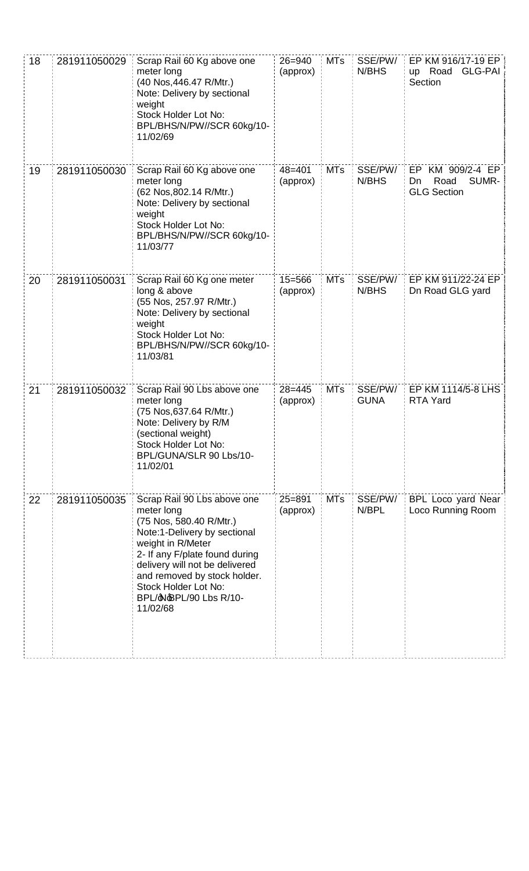| 18 | 281911050029 | Scrap Rail 60 Kg above one<br>meter long<br>(40 Nos, 446.47 R/Mtr.)<br>Note: Delivery by sectional<br>weight<br>Stock Holder Lot No:<br>BPL/BHS/N/PW//SCR 60kg/10-<br>11/02/69                                                                                                              | $26 = 940$<br>(approx) | <b>MTs</b> | SSE/PW/<br>N/BHS       | EP KM 916/17-19 EP<br><b>GLG-PAI</b><br>up Road<br>Section    |
|----|--------------|---------------------------------------------------------------------------------------------------------------------------------------------------------------------------------------------------------------------------------------------------------------------------------------------|------------------------|------------|------------------------|---------------------------------------------------------------|
| 19 | 281911050030 | Scrap Rail 60 Kg above one<br>meter long<br>(62 Nos, 802.14 R/Mtr.)<br>Note: Delivery by sectional<br>weight<br>Stock Holder Lot No:<br>BPL/BHS/N/PW//SCR 60kg/10-<br>11/03/77                                                                                                              | $48 = 401$<br>(approx) | <b>MTs</b> | SSE/PW/<br>N/BHS       | EP KM 909/2-4 EP<br>SUMR-<br>Road<br>Dn<br><b>GLG Section</b> |
| 20 | 281911050031 | Scrap Rail 60 Kg one meter<br>long & above<br>(55 Nos, 257.97 R/Mtr.)<br>Note: Delivery by sectional<br>weight<br>Stock Holder Lot No:<br>BPL/BHS/N/PW//SCR 60kg/10-<br>11/03/81                                                                                                            | $15 = 566$<br>(approx) | <b>MTs</b> | SSE/PW/<br>N/BHS       | EP KM 911/22-24 EP<br>Dn Road GLG yard                        |
| 21 | 281911050032 | Scrap Rail 90 Lbs above one<br>meter long<br>(75 Nos, 637.64 R/Mtr.)<br>Note: Delivery by R/M<br>(sectional weight)<br>Stock Holder Lot No:<br>BPL/GUNA/SLR 90 Lbs/10-<br>11/02/01                                                                                                          | $28 = 445$<br>(approx) | <b>MTs</b> | SSE/PW/<br><b>GUNA</b> | EP KM 1114/5-8 LHS<br><b>RTA Yard</b>                         |
| 22 | 281911050035 | Scrap Rail 90 Lbs above one<br>meter long<br>(75 Nos, 580.40 R/Mtr.)<br>Note:1-Delivery by sectional<br>weight in R/Meter<br>2- If any F/plate found during<br>delivery will not be delivered<br>and removed by stock holder.<br>Stock Holder Lot No:<br>BPL/CNBPL/90 Lbs R/10-<br>11/02/68 | $25 = 891$<br>(approx) | <b>MTs</b> | SSE/PW/<br>N/BPL       | BPL Loco yard Near<br>Loco Running Room                       |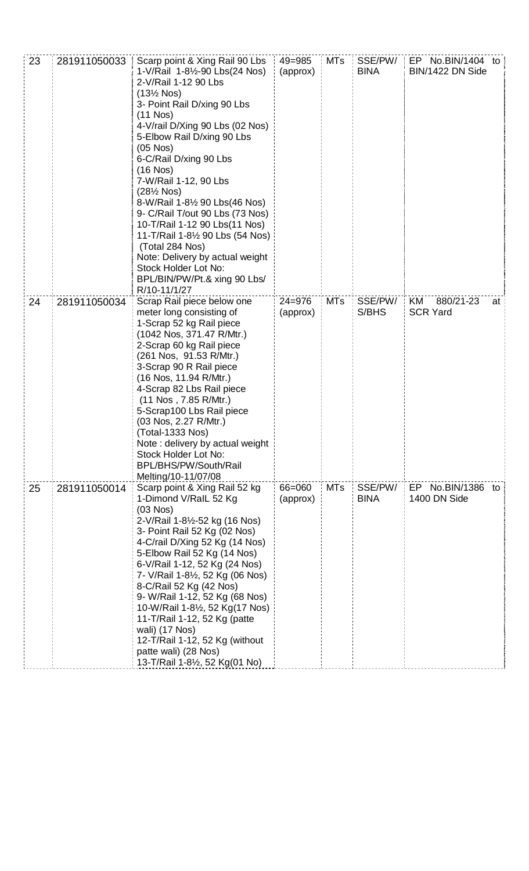| 23 | 281911050033 | Scarp point & Xing Rail 90 Lbs<br>1-V/Rail 1-8½-90 Lbs(24 Nos)<br>2-V/Rail 1-12 90 Lbs<br>$(13\frac{1}{2}$ Nos)<br>3- Point Rail D/xing 90 Lbs<br>$(11$ Nos)<br>4-V/rail D/Xing 90 Lbs (02 Nos)<br>5-Elbow Rail D/xing 90 Lbs<br>$(05$ Nos $)$<br>6-C/Rail D/xing 90 Lbs<br>$(16$ Nos)<br>7-W/Rail 1-12, 90 Lbs<br>$(28\frac{1}{2}$ Nos)<br>8-W/Rail 1-81/2 90 Lbs(46 Nos)<br>9- C/Rail T/out 90 Lbs (73 Nos)<br>10-T/Rail 1-12 90 Lbs(11 Nos)<br>11-T/Rail 1-8½ 90 Lbs (54 Nos)<br>(Total 284 Nos)<br>Note: Delivery by actual weight<br>Stock Holder Lot No:<br>BPL/BIN/PW/Pt.& xing 90 Lbs/<br>R/10-11/1/27 | $49 = 985$<br>(approx) | MTs        | SSE/PW/<br><b>BINA</b> | EP No.BIN/1404 to<br>BIN/1422 DN Side |      |
|----|--------------|----------------------------------------------------------------------------------------------------------------------------------------------------------------------------------------------------------------------------------------------------------------------------------------------------------------------------------------------------------------------------------------------------------------------------------------------------------------------------------------------------------------------------------------------------------------------------------------------------------------|------------------------|------------|------------------------|---------------------------------------|------|
| 24 | 281911050034 | Scrap Rail piece below one<br>meter long consisting of<br>1-Scrap 52 kg Rail piece<br>(1042 Nos, 371.47 R/Mtr.)<br>2-Scrap 60 kg Rail piece<br>(261 Nos, 91.53 R/Mtr.)<br>3-Scrap 90 R Rail piece<br>(16 Nos, 11.94 R/Mtr.)<br>4-Scrap 82 Lbs Rail piece<br>(11 Nos , 7.85 R/Mtr.)<br>5-Scrap100 Lbs Rail piece<br>(03 Nos, 2.27 R/Mtr.)<br>(Total-1333 Nos)<br>Note: delivery by actual weight<br>Stock Holder Lot No:<br>BPL/BHS/PW/South/Rail<br>Melting/10-11/07/08                                                                                                                                        | $24 = 976$<br>(approx) | MTs        | SSE/PW/<br>S/BHS       | KM<br>880/21-23<br><b>SCR Yard</b>    | at ' |
| 25 | 281911050014 | Scarp point & Xing Rail 52 kg<br>1-Dimond V/RalL 52 Kg<br>$(03$ Nos $)$<br>2-V/Rail 1-8½-52 kg (16 Nos)<br>3- Point Rail 52 Kg (02 Nos)<br>4-C/rail D/Xing 52 Kg (14 Nos)<br>5-Elbow Rail 52 Kg (14 Nos)<br>6-V/Rail 1-12, 52 Kg (24 Nos)<br>7- V/Rail 1-8½, 52 Kg (06 Nos)<br>8-C/Rail 52 Kg (42 Nos)<br>9- W/Rail 1-12, 52 Kg (68 Nos)<br>10-W/Rail 1-8½, 52 Kg(17 Nos)<br>11-T/Rail 1-12, 52 Kg (patte<br>wali) (17 Nos)<br>12-T/Rail 1-12, 52 Kg (without<br>patte wali) (28 Nos)<br>13-T/Rail 1-8½, 52 Kg(01 No)                                                                                          | 66=060<br>(approx)     | <b>MTs</b> | SSE/PW/<br><b>BINA</b> | EP No.BIN/1386<br>1400 DN Side        | to   |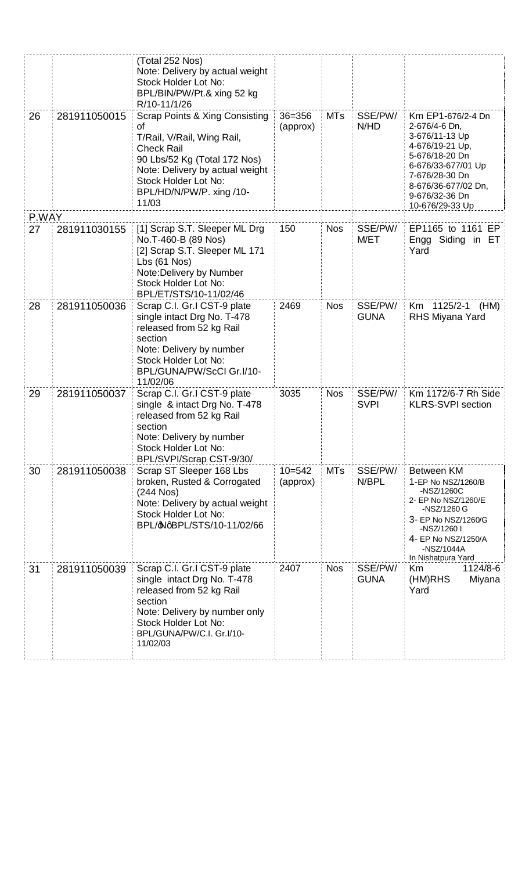|       |              | (Total 252 Nos)                                         |            |            |                  |                                         |
|-------|--------------|---------------------------------------------------------|------------|------------|------------------|-----------------------------------------|
|       |              | Note: Delivery by actual weight                         |            |            |                  |                                         |
|       |              | Stock Holder Lot No:                                    |            |            |                  |                                         |
|       |              | BPL/BIN/PW/Pt.& xing 52 kg                              |            |            |                  |                                         |
|       |              | R/10-11/1/26                                            |            |            |                  |                                         |
| 26    | 281911050015 | Scrap Points & Xing Consisting                          | $36 = 356$ | <b>MTs</b> | SSE/PW/          | Km EP1-676/2-4 Dn                       |
|       |              | οf                                                      | (approx)   |            | N/HD             | 2-676/4-6 Dn,                           |
|       |              | T/Rail, V/Rail, Wing Rail,                              |            |            |                  | 3-676/11-13 Up                          |
|       |              | <b>Check Rail</b>                                       |            |            |                  | 4-676/19-21 Up,                         |
|       |              | 90 Lbs/52 Kg (Total 172 Nos)                            |            |            |                  | 5-676/18-20 Dn                          |
|       |              | Note: Delivery by actual weight                         |            |            |                  | 6-676/33-677/01 Up                      |
|       |              | Stock Holder Lot No:                                    |            |            |                  | 7-676/28-30 Dn<br>8-676/36-677/02 Dn,   |
|       |              | BPL/HD/N/PW/P. xing /10-                                |            |            |                  | 9-676/32-36 Dn                          |
|       |              | 11/03                                                   |            |            |                  | 10-676/29-33 Up                         |
| P.WAY |              |                                                         |            |            |                  |                                         |
| 27    | 281911030155 | [1] Scrap S.T. Sleeper ML Drg                           | 150        | <b>Nos</b> | SSE/PW/          | EP1165 to 1161 EP                       |
|       |              | No.T-460-B (89 Nos)                                     |            |            | M/ET             | Engg Siding in ET                       |
|       |              | [2] Scrap S.T. Sleeper ML 171                           |            |            |                  | Yard                                    |
|       |              | Lbs(61 Nos)                                             |            |            |                  |                                         |
|       |              | Note: Delivery by Number                                |            |            |                  |                                         |
|       |              | Stock Holder Lot No:                                    |            |            |                  |                                         |
|       |              | BPL/ET/STS/10-11/02/46                                  |            |            |                  |                                         |
| 28    | 281911050036 | Scrap C.I. Gr.I CST-9 plate                             | 2469       | <b>Nos</b> | SSE/PW/          | Km 1125/2-1<br>(HM)                     |
|       |              | single intact Drg No. T-478                             |            |            | <b>GUNA</b>      | RHS Miyana Yard                         |
|       |              | released from 52 kg Rail                                |            |            |                  |                                         |
|       |              | section                                                 |            |            |                  |                                         |
|       |              | Note: Delivery by number                                |            |            |                  |                                         |
|       |              | Stock Holder Lot No:                                    |            |            |                  |                                         |
|       |              | BPL/GUNA/PW/ScCI Gr.I/10-                               |            |            |                  |                                         |
|       |              | 11/02/06                                                |            |            |                  |                                         |
| 29    | 281911050037 | Scrap C.I. Gr.I CST-9 plate                             | 3035       | <b>Nos</b> | SSE/PW/          | Km 1172/6-7 Rh Side                     |
|       |              | single & intact Drg No. T-478                           |            |            | <b>SVPI</b>      | <b>KLRS-SVPI</b> section                |
|       |              | released from 52 kg Rail                                |            |            |                  |                                         |
|       |              | section                                                 |            |            |                  |                                         |
|       |              | Note: Delivery by number                                |            |            |                  |                                         |
|       |              | Stock Holder Lot No:                                    |            |            |                  |                                         |
|       |              | BPL/SVPI/Scrap CST-9/30/                                |            |            |                  |                                         |
| 30    | 281911050038 | Scrap ST Sleeper 168 Lbs<br>broken, Rusted & Corrogated | $10 = 542$ | <b>MTs</b> | SSE/PW/<br>N/BPL | <b>Between KM</b><br>1-EP No NSZ/1260/B |
|       |              | $(244$ Nos)                                             | (approx)   |            |                  | -NSZ/1260C                              |
|       |              | Note: Delivery by actual weight                         |            |            |                  | 2- EP No NSZ/1260/E                     |
|       |              | Stock Holder Lot No:                                    |            |            |                  | -NSZ/1260 G                             |
|       |              | BPL/dNqBPL/STS/10-11/02/66                              |            |            |                  | 3- EP No NSZ/1260/G                     |
|       |              |                                                         |            |            |                  | -NSZ/1260 I                             |
|       |              |                                                         |            |            |                  | 4- EP No NSZ/1250/A<br>-NSZ/1044A       |
|       |              |                                                         |            |            |                  | In Nishatpura Yard                      |
| 31    | 281911050039 | Scrap C.I. Gr.I CST-9 plate                             | 2407       | <b>Nos</b> | SSE/PW/          | 1124/8-6<br>Km                          |
|       |              | single intact Drg No. T-478                             |            |            | <b>GUNA</b>      | Miyana<br>(HM)RHS                       |
|       |              | released from 52 kg Rail                                |            |            |                  | Yard                                    |
|       |              | section                                                 |            |            |                  |                                         |
|       |              | Note: Delivery by number only                           |            |            |                  |                                         |
|       |              | Stock Holder Lot No:                                    |            |            |                  |                                         |
|       |              | BPL/GUNA/PW/C.I. Gr.I/10-                               |            |            |                  |                                         |
|       |              | 11/02/03                                                |            |            |                  |                                         |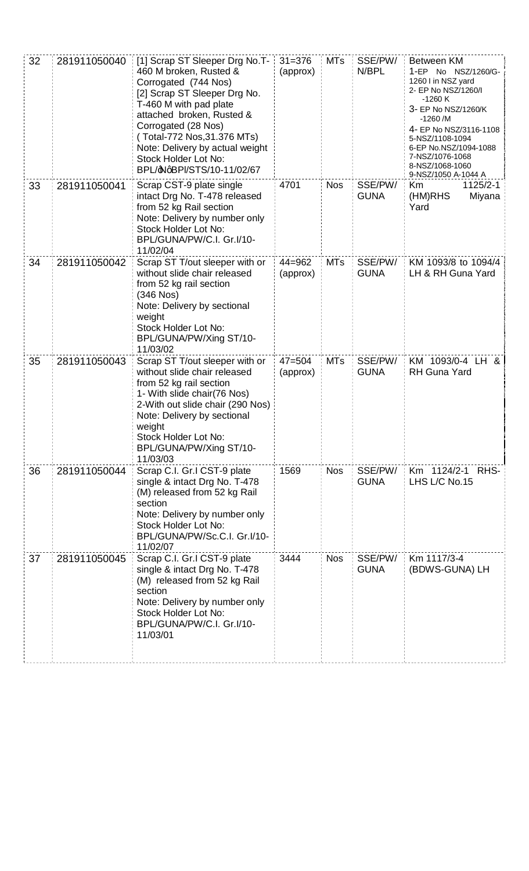| 32 | 281911050040 | [1] Scrap ST Sleeper Drg No.T-<br>460 M broken, Rusted &<br>Corrogated (744 Nos)<br>[2] Scrap ST Sleeper Drg No.<br>T-460 M with pad plate<br>attached broken, Rusted &<br>Corrogated (28 Nos)<br>(Total-772 Nos, 31.376 MTs)<br>Note: Delivery by actual weight<br>Stock Holder Lot No:<br>BPL/ $\Phi$ qBPI/STS/10-11/02/67 | $31 = 376$<br>(approx) | <b>MTs</b> | SSE/PW/<br>N/BPL       | Between KM<br>1-EP No NSZ/1260/G-<br>1260 I in NSZ yard<br>2- EP No NSZ/1260/I<br>$-1260K$<br>3- EP No NSZ/1260/K<br>$-1260$ /M<br>4- EP No NSZ/3116-1108<br>5-NSZ/1108-1094<br>6-EP No.NSZ/1094-1088<br>7-NSZ/1076-1068<br>8-NSZ/1068-1060<br>9-NSZ/1050 A-1044 A |
|----|--------------|------------------------------------------------------------------------------------------------------------------------------------------------------------------------------------------------------------------------------------------------------------------------------------------------------------------------------|------------------------|------------|------------------------|--------------------------------------------------------------------------------------------------------------------------------------------------------------------------------------------------------------------------------------------------------------------|
| 33 | 281911050041 | Scrap CST-9 plate single<br>intact Drg No. T-478 released<br>from 52 kg Rail section<br>Note: Delivery by number only<br>Stock Holder Lot No:<br>BPL/GUNA/PW/C.I. Gr.I/10-<br>11/02/04                                                                                                                                       | 4701                   | <b>Nos</b> | SSE/PW/<br><b>GUNA</b> | Km<br>1125/2-1<br>(HM)RHS<br>Miyana<br>Yard                                                                                                                                                                                                                        |
| 34 | 281911050042 | Scrap ST T/out sleeper with or<br>without slide chair released<br>from 52 kg rail section<br>$(346$ Nos $)$<br>Note: Delivery by sectional<br>weight<br>Stock Holder Lot No:<br>BPL/GUNA/PW/Xing ST/10-<br>11/03/02                                                                                                          | $44 = 962$<br>(approx) | <b>MTs</b> | SSE/PW/<br><b>GUNA</b> | KM 1093/8 to 1094/4<br>LH & RH Guna Yard                                                                                                                                                                                                                           |
| 35 | 281911050043 | Scrap ST T/out sleeper with or<br>without slide chair released<br>from 52 kg rail section<br>1- With slide chair (76 Nos)<br>2-With out slide chair (290 Nos)<br>Note: Delivery by sectional<br>weight<br>Stock Holder Lot No:<br>BPL/GUNA/PW/Xing ST/10-<br>11/03/03                                                        | $47 = 504$<br>(approx) | <b>MTs</b> | SSE/PW/<br><b>GUNA</b> | KM 1093/0-4 LH &<br><b>RH Guna Yard</b>                                                                                                                                                                                                                            |
| 36 | 281911050044 | Scrap C.I. Gr.I CST-9 plate<br>single & intact Drg No. T-478<br>(M) released from 52 kg Rail<br>section<br>Note: Delivery by number only<br>Stock Holder Lot No:<br>BPL/GUNA/PW/Sc.C.I. Gr.I/10-<br>11/02/07                                                                                                                 | 1569                   | <b>Nos</b> | SSE/PW/<br><b>GUNA</b> | Km 1124/2-1 RHS-<br>LHS L/C No.15                                                                                                                                                                                                                                  |
| 37 | 281911050045 | Scrap C.I. Gr.I CST-9 plate<br>single & intact Drg No. T-478<br>(M) released from 52 kg Rail<br>section<br>Note: Delivery by number only<br>Stock Holder Lot No:<br>BPL/GUNA/PW/C.I. Gr.I/10-<br>11/03/01                                                                                                                    | 3444                   | <b>Nos</b> | SSE/PW/<br><b>GUNA</b> | Km 1117/3-4<br>(BDWS-GUNA) LH                                                                                                                                                                                                                                      |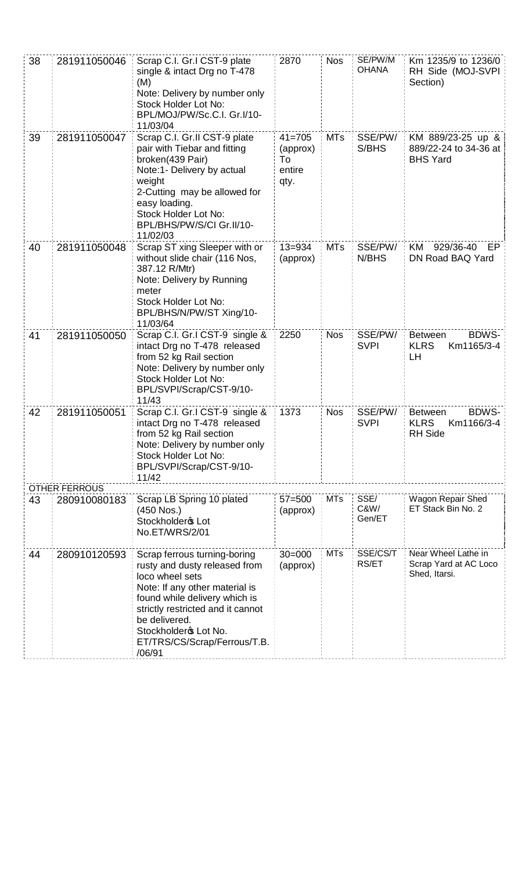| 38 | 281911050046                         | Scrap C.I. Gr.I CST-9 plate<br>single & intact Drg no T-478<br>(M)<br>Note: Delivery by number only<br>Stock Holder Lot No:<br>BPL/MOJ/PW/Sc.C.I. Gr.I/10-<br>11/03/04                                                                                                      | 2870                                           | <b>Nos</b> | SE/PW/M<br><b>OHANA</b> | Km 1235/9 to 1236/0<br>RH Side (MOJ-SVPI<br>Section)                          |
|----|--------------------------------------|-----------------------------------------------------------------------------------------------------------------------------------------------------------------------------------------------------------------------------------------------------------------------------|------------------------------------------------|------------|-------------------------|-------------------------------------------------------------------------------|
| 39 | 281911050047                         | Scrap C.I. Gr.II CST-9 plate<br>pair with Tiebar and fitting<br>broken(439 Pair)<br>Note:1- Delivery by actual<br>weight<br>2-Cutting may be allowed for<br>easy loading.<br>Stock Holder Lot No:<br>BPL/BHS/PW/S/CI Gr.II/10-<br>11/02/03                                  | $41 = 705$<br>(approx)<br>To<br>entire<br>qty. | <b>MTs</b> | SSE/PW/<br>S/BHS        | KM 889/23-25 up &<br>889/22-24 to 34-36 at<br><b>BHS Yard</b>                 |
| 40 | 281911050048                         | Scrap ST xing Sleeper with or<br>without slide chair (116 Nos,<br>387.12 R/Mtr)<br>Note: Delivery by Running<br>meter<br>Stock Holder Lot No:<br>BPL/BHS/N/PW/ST Xing/10-<br>11/03/64                                                                                       | $13 = 934$<br>(approx)                         | <b>MTs</b> | SSE/PW/<br>N/BHS        | 929/36-40<br>KM<br>EP<br>DN Road BAQ Yard                                     |
| 41 | 281911050050                         | Scrap C.I. Gr.I CST-9 single &<br>intact Drg no T-478 released<br>from 52 kg Rail section<br>Note: Delivery by number only<br>Stock Holder Lot No:<br>BPL/SVPI/Scrap/CST-9/10-<br>11/43                                                                                     | 2250                                           | <b>Nos</b> | SSE/PW/<br><b>SVPI</b>  | <b>BDWS-</b><br><b>Between</b><br><b>KLRS</b><br>Km1165/3-4<br>LH             |
| 42 | 281911050051<br><b>OTHER FERROUS</b> | Scrap C.I. Gr.I CST-9 single &<br>intact Drg no T-478 released<br>from 52 kg Rail section<br>Note: Delivery by number only<br>Stock Holder Lot No:<br>BPL/SVPI/Scrap/CST-9/10-<br>11/42                                                                                     | 1373                                           | <b>Nos</b> | SSE/PW/<br><b>SVPI</b>  | <b>BDWS-</b><br><b>Between</b><br><b>KLRS</b><br>Km1166/3-4<br><b>RH Side</b> |
| 43 | 280910080183                         | Scrap LB Spring 10 plated<br>(450 Nos.)<br>Stockholder <sup>\$</sup> Lot<br>No.ET/WRS/2/01                                                                                                                                                                                  | $57 = 500$<br>(approx)                         | <b>MTs</b> | SSE/<br>C&W/<br>Gen/ET  | Wagon Repair Shed<br>ET Stack Bin No. 2                                       |
| 44 | 280910120593                         | Scrap ferrous turning-boring<br>rusty and dusty released from<br>loco wheel sets<br>Note: If any other material is<br>found while delivery which is<br>strictly restricted and it cannot<br>be delivered.<br>Stockholdero Lot No.<br>ET/TRS/CS/Scrap/Ferrous/T.B.<br>/06/91 | $30 = 000$<br>(approx)                         | <b>MTs</b> | SSE/CS/T<br>RS/ET       | Near Wheel Lathe in<br>Scrap Yard at AC Loco<br>Shed, Itarsi.                 |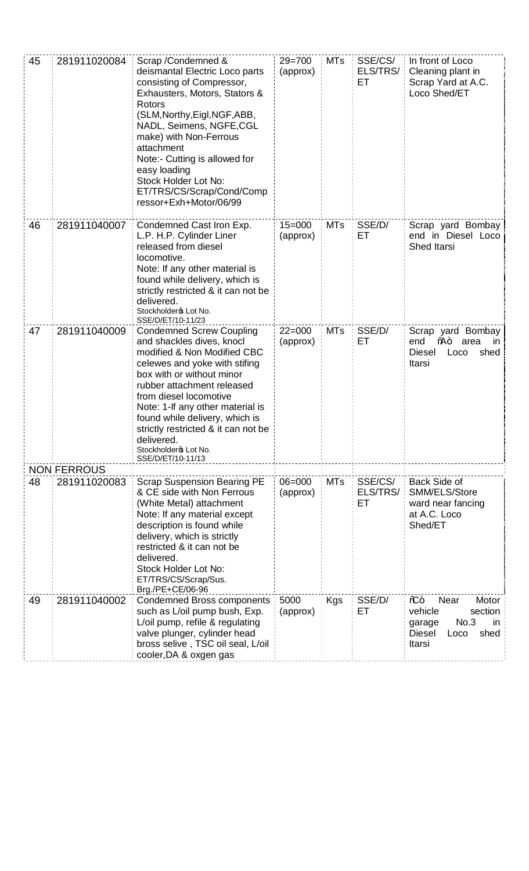| 45 | 281911020084                       | Scrap / Condemned &<br>deismantal Electric Loco parts<br>consisting of Compressor,<br>Exhausters, Motors, Stators &<br>Rotors<br>(SLM, Northy, Eigl, NGF, ABB,<br>NADL, Seimens, NGFE, CGL<br>make) with Non-Ferrous<br>attachment<br>Note:- Cutting is allowed for<br>easy loading<br>Stock Holder Lot No:<br>ET/TRS/CS/Scrap/Cond/Comp<br>ressor+Exh+Motor/06/99                        | $29 = 700$<br>(approx) | <b>MTs</b> | SSE/CS/<br>ELS/TRS/<br>EТ | In front of Loco<br>Cleaning plant in<br>Scrap Yard at A.C.<br>Loco Shed/ET                                   |
|----|------------------------------------|-------------------------------------------------------------------------------------------------------------------------------------------------------------------------------------------------------------------------------------------------------------------------------------------------------------------------------------------------------------------------------------------|------------------------|------------|---------------------------|---------------------------------------------------------------------------------------------------------------|
| 46 | 281911040007                       | Condemned Cast Iron Exp.<br>L.P. H.P. Cylinder Liner<br>released from diesel<br>locomotive.<br>Note: If any other material is<br>found while delivery, which is<br>strictly restricted & it can not be<br>delivered.<br>Stockholdero Lot No.<br>SSE/D/ET/10-11/23                                                                                                                         | $15 = 000$<br>(approx) | <b>MTs</b> | SSE/D/<br>ET.             | Scrap yard Bombay<br>end in Diesel Loco<br>Shed Itarsi                                                        |
| 47 | 281911040009                       | <b>Condemned Screw Coupling</b><br>and shackles dives, knocl<br>modified & Non Modified CBC<br>celewes and yoke with stifing<br>box with or without minor<br>rubber attachment released<br>from diesel locomotive<br>Note: 1-If any other material is<br>found while delivery, which is<br>strictly restricted & it can not be<br>delivered.<br>Stockholdero Lot No.<br>SSE/D/ET/10-11/13 | $22 = 000$<br>(approx) | <b>MTs</b> | SSE/D/<br>ET.             | Scrap yard Bombay<br>end<br>‰+<br>area<br>ın<br><b>Diesel</b><br>shed<br>Loco<br>Itarsi                       |
| 48 | <b>NON FERROUS</b><br>281911020083 | <b>Scrap Suspension Bearing PE</b><br>& CE side with Non Ferrous<br>(White Metal) attachment<br>Note: If any material except                                                                                                                                                                                                                                                              | $06 = 000$<br>(approx) | <b>MTs</b> | SSE/CS/<br>ELS/TRS/<br>ET | Back Side of<br>SMM/ELS/Store<br>ward near fancing<br>at A.C. Loco                                            |
|    |                                    | description is found while<br>delivery, which is strictly<br>restricted & it can not be<br>delivered.<br>Stock Holder Lot No:<br>ET/TRS/CS/Scrap/Sus.<br>Brg./PE+CE/06-96                                                                                                                                                                                                                 |                        |            |                           | Shed/ET                                                                                                       |
| 49 | 281911040002                       | <b>Condemned Bross components</b><br>such as L/oil pump bush, Exp.<br>L/oil pump, refile & regulating<br>valve plunger, cylinder head<br>bross selive, TSC oil seal, L/oil<br>cooler, DA & oxgen gas                                                                                                                                                                                      | 5000<br>(approx)       | Kgs        | SSE/D/<br>ЕT              | Motor<br>⁄ଢ+<br>Near<br>section<br>vehicle<br>No.3<br>in<br>garage<br><b>Diesel</b><br>shed<br>Loco<br>Itarsi |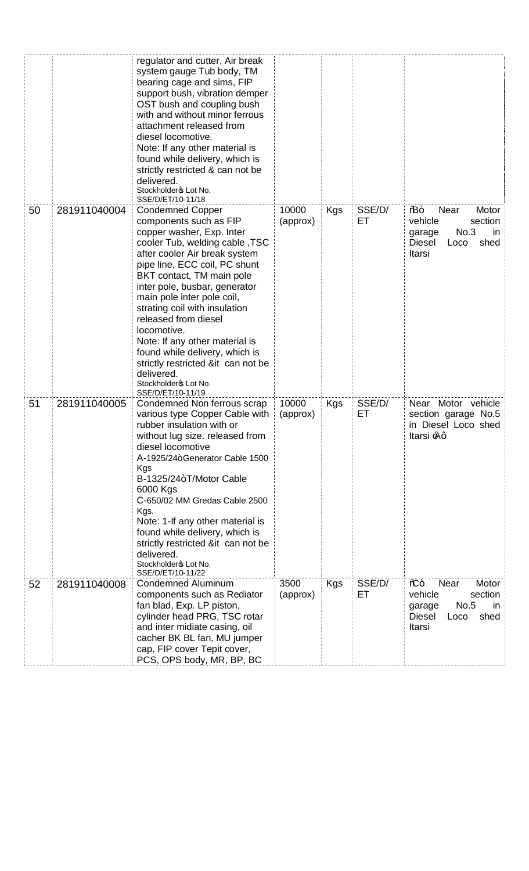|    |              | regulator and cutter, Air break<br>system gauge Tub body, TM<br>bearing cage and sims, FIP<br>support bush, vibration demper<br>OST bush and coupling bush<br>with and without minor ferrous<br>attachment released from<br>diesel locomotive.<br>Note: If any other material is<br>found while delivery, which is<br>strictly restricted & can not be<br>delivered.<br>Stockholdero Lot No.<br>SSE/D/ET/10-11/18                                                                                    |                   |            |              |                                                                                                                |
|----|--------------|------------------------------------------------------------------------------------------------------------------------------------------------------------------------------------------------------------------------------------------------------------------------------------------------------------------------------------------------------------------------------------------------------------------------------------------------------------------------------------------------------|-------------------|------------|--------------|----------------------------------------------------------------------------------------------------------------|
| 50 | 281911040004 | <b>Condemned Copper</b><br>components such as FIP<br>copper washer, Exp. Inter<br>cooler Tub, welding cable, TSC<br>after cooler Air break system<br>pipe line, ECC coil, PC shunt<br>BKT contact, TM main pole<br>inter pole, busbar, generator<br>main pole inter pole coil,<br>strating coil with insulation<br>released from diesel<br>locomotive.<br>Note: If any other material is<br>found while delivery, which is<br>strictly restricted ⁢ can not be<br>delivered.<br>Stockholdero Lot No. | 10000<br>(approx) | <b>Kgs</b> | SSE/D/<br>EТ | 9B+<br>Near<br>Motor<br>vehicle<br>section<br>No.3<br>-in<br>garage<br>shed<br><b>Diesel</b><br>Loco<br>Itarsi |
| 51 | 281911040005 | SSE/D/ET/10-11/19<br>Condemned Non ferrous scrap<br>various type Copper Cable with<br>rubber insulation with or<br>without lug size. released from<br>diesel locomotive<br>A-1925/24+Generator Cable 1500<br>Kgs<br>B-1325/24+T/Motor Cable<br>6000 Kgs<br>C-650/02 MM Gredas Cable 2500<br>Kgs.<br>Note: 1-If any other material is<br>found while delivery, which is<br>strictly restricted ⁢ can not be<br>delivered.<br>Stockholdero Lot No.                                                     | 10000<br>(approx) | Kgs        | SSE/D/<br>ET | Near Motor vehicle<br>section garage No.5<br>in Diesel Loco shed<br>ltarsi <del>:</del> Aq                     |
| 52 | 281911040008 | SSE/D/ET/10-11/22<br><b>Condemned Aluminum</b><br>components such as Rediator<br>fan blad, Exp. LP piston,<br>cylinder head PRG, TSC rotar<br>and inter midiate casing, oil<br>cacher BK BL fan, MU jumper<br>cap, FIP cover Tepit cover,<br>PCS, OPS body, MR, BP, BC                                                                                                                                                                                                                               | 3500<br>(approx)  | <b>Kgs</b> | SSE/D/<br>EТ | Motor<br>⁄ଢ+<br>Near<br>vehicle<br>section<br>No.5<br>in<br>garage<br>Diesel<br>shed<br>Loco<br>Itarsi         |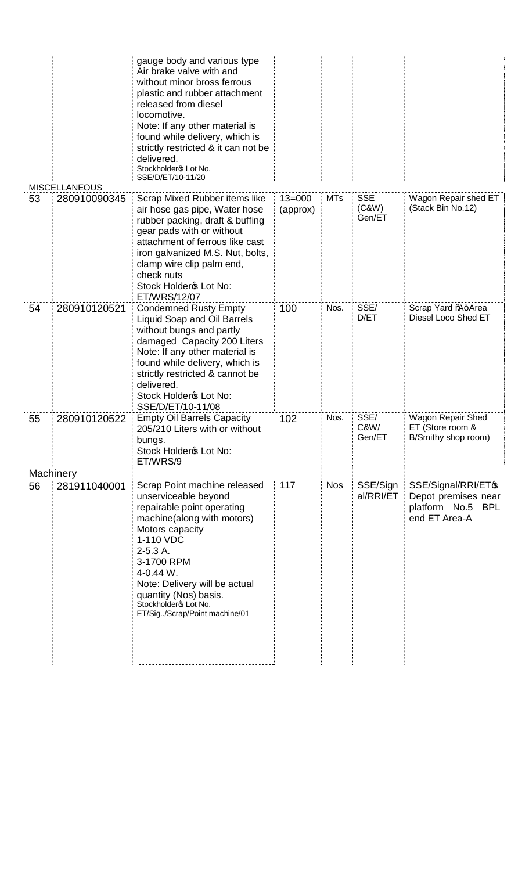|    |                      | gauge body and various type<br>Air brake valve with and<br>without minor bross ferrous<br>plastic and rubber attachment<br>released from diesel<br>locomotive.<br>Note: If any other material is<br>found while delivery, which is<br>strictly restricted & it can not be<br>delivered.<br>Stockholdero Lot No.<br>SSE/D/ET/10-11/20 |                        |            |                        |                                                                                              |
|----|----------------------|--------------------------------------------------------------------------------------------------------------------------------------------------------------------------------------------------------------------------------------------------------------------------------------------------------------------------------------|------------------------|------------|------------------------|----------------------------------------------------------------------------------------------|
|    | <b>MISCELLANEOUS</b> |                                                                                                                                                                                                                                                                                                                                      |                        | <b>MTs</b> | <b>SSE</b>             | Wagon Repair shed ET                                                                         |
| 53 | 280910090345         | Scrap Mixed Rubber items like<br>air hose gas pipe, Water hose<br>rubber packing, draft & buffing<br>gear pads with or without<br>attachment of ferrous like cast<br>iron galvanized M.S. Nut, bolts,<br>clamp wire clip palm end,<br>check nuts<br>Stock Holdero Lot No:<br>ET/WRS/12/07                                            | $13 = 000$<br>(approx) |            | (C&W)<br>Gen/ET        | (Stack Bin No.12)                                                                            |
| 54 | 280910120521         | <b>Condemned Rusty Empty</b><br>Liquid Soap and Oil Barrels<br>without bungs and partly<br>damaged Capacity 200 Liters<br>Note: If any other material is<br>found while delivery, which is<br>strictly restricted & cannot be<br>delivered.<br>Stock Holdero Lot No:<br>SSE/D/ET/10-11/08                                            | 100                    | Nos.       | SSE/<br>D/ET           | Scrap Yard %+Area<br>Diesel Loco Shed ET                                                     |
| 55 | 280910120522         | <b>Empty Oil Barrels Capacity</b><br>205/210 Liters with or without<br>bungs.<br>Stock Holdero Lot No:<br>ET/WRS/9                                                                                                                                                                                                                   | 102                    | Nos.       | SSE/<br>C&W/<br>Gen/ET | Wagon Repair Shed<br>ET (Store room &<br>B/Smithy shop room)                                 |
|    | Machinery            |                                                                                                                                                                                                                                                                                                                                      |                        |            |                        |                                                                                              |
| 56 | 281911040001         | Scrap Point machine released<br>unserviceable beyond<br>repairable point operating<br>machine(along with motors)<br>Motors capacity<br>1-110 VDC<br>2-5.3 A.<br>3-1700 RPM<br>4-0.44 W.<br>Note: Delivery will be actual<br>quantity (Nos) basis.<br>Stockholdero Lot No.<br>ET/Sig/Scrap/Point machine/01                           | 117                    | <b>Nos</b> | SSE/Sign<br>al/RRI/ET  | SSE/Signal/RRI/ET <sup>\$</sup><br>Depot premises near<br>platform No.5 BPL<br>end ET Area-A |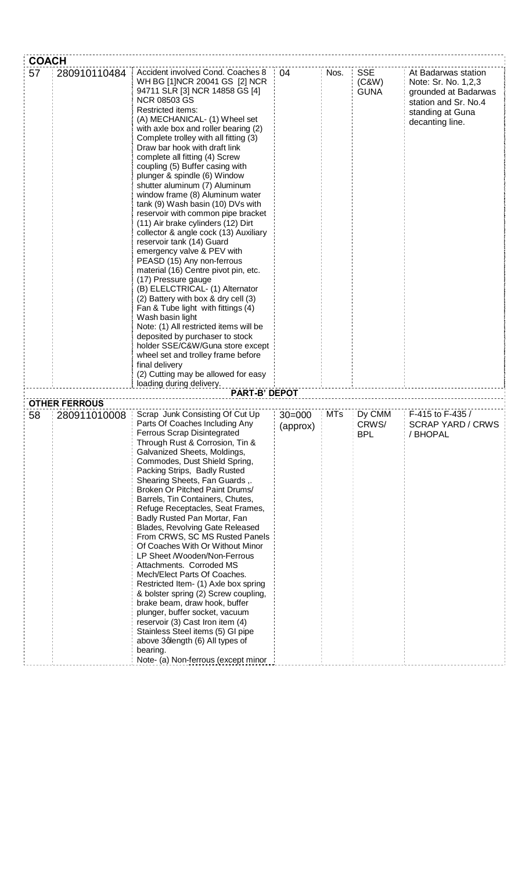| <b>COACH</b> |                                      |                                                                                                                                                                                                                                                                                                                                                                                                                                                                                                                                                                                                                                                                                                                                                                                                                                                                                                                                                                                                                                                                                                                                                                                                               |                        |            |                                    |                                                                                                                                   |
|--------------|--------------------------------------|---------------------------------------------------------------------------------------------------------------------------------------------------------------------------------------------------------------------------------------------------------------------------------------------------------------------------------------------------------------------------------------------------------------------------------------------------------------------------------------------------------------------------------------------------------------------------------------------------------------------------------------------------------------------------------------------------------------------------------------------------------------------------------------------------------------------------------------------------------------------------------------------------------------------------------------------------------------------------------------------------------------------------------------------------------------------------------------------------------------------------------------------------------------------------------------------------------------|------------------------|------------|------------------------------------|-----------------------------------------------------------------------------------------------------------------------------------|
| 57           | 280910110484                         | Accident involved Cond. Coaches 8<br>WH BG [1]NCR 20041 GS [2] NCR<br>94711 SLR [3] NCR 14858 GS [4]<br><b>NCR 08503 GS</b><br><b>Restricted items:</b><br>(A) MECHANICAL- (1) Wheel set<br>with axle box and roller bearing (2)<br>Complete trolley with all fitting (3)<br>Draw bar hook with draft link<br>complete all fitting (4) Screw<br>coupling (5) Buffer casing with<br>plunger & spindle (6) Window<br>shutter aluminum (7) Aluminum<br>window frame (8) Aluminum water<br>tank (9) Wash basin (10) DVs with<br>reservoir with common pipe bracket<br>(11) Air brake cylinders (12) Dirt<br>collector & angle cock (13) Auxiliary<br>reservoir tank (14) Guard<br>emergency valve & PEV with<br>PEASD (15) Any non-ferrous<br>material (16) Centre pivot pin, etc.<br>(17) Pressure gauge<br>(B) ELELCTRICAL- (1) Alternator<br>(2) Battery with box & dry cell (3)<br>Fan & Tube light with fittings (4)<br>Wash basin light<br>Note: (1) All restricted items will be<br>deposited by purchaser to stock<br>holder SSE/C&W/Guna store except<br>wheel set and trolley frame before<br>final delivery<br>(2) Cutting may be allowed for easy<br>loading during delivery.<br><b>PART-B' DEPOT</b> | 04                     | Nos.       | <b>SSE</b><br>(C&W)<br><b>GUNA</b> | At Badarwas station<br>Note: Sr. No. 1,2,3<br>grounded at Badarwas<br>station and Sr. No.4<br>standing at Guna<br>decanting line. |
| 58           | <b>OTHER FERROUS</b><br>280911010008 | Scrap Junk Consisting Of Cut Up<br>Parts Of Coaches Including Any<br><b>Ferrous Scrap Disintegrated</b><br>Through Rust & Corrosion, Tin &<br>Galvanized Sheets, Moldings,<br>Commodes, Dust Shield Spring,<br>Packing Strips, Badly Rusted<br>Shearing Sheets, Fan Guards,.<br>Broken Or Pitched Paint Drums/<br>Barrels, Tin Containers, Chutes,<br>Refuge Receptacles, Seat Frames,<br>Badly Rusted Pan Mortar, Fan<br>Blades, Revolving Gate Released<br>From CRWS, SC MS Rusted Panels<br>Of Coaches With Or Without Minor<br>LP Sheet /Wooden/Non-Ferrous<br>Attachments. Corroded MS<br>Mech/Elect Parts Of Coaches.<br>Restricted Item- (1) Axle box spring<br>& bolster spring (2) Screw coupling,<br>brake beam, draw hook, buffer<br>plunger, buffer socket, vacuum<br>reservoir (3) Cast Iron item (4)<br>Stainless Steel items (5) GI pipe<br>above 3qlength (6) All types of<br>bearing.<br>Note- (a) Non-ferrous (except minor                                                                                                                                                                                                                                                                 | $30 = 000$<br>(approx) | <b>MTs</b> | Dy CMM<br>CRWS/<br><b>BPL</b>      | F-415 to F-435 /<br><b>SCRAP YARD / CRWS</b><br>/ BHOPAL                                                                          |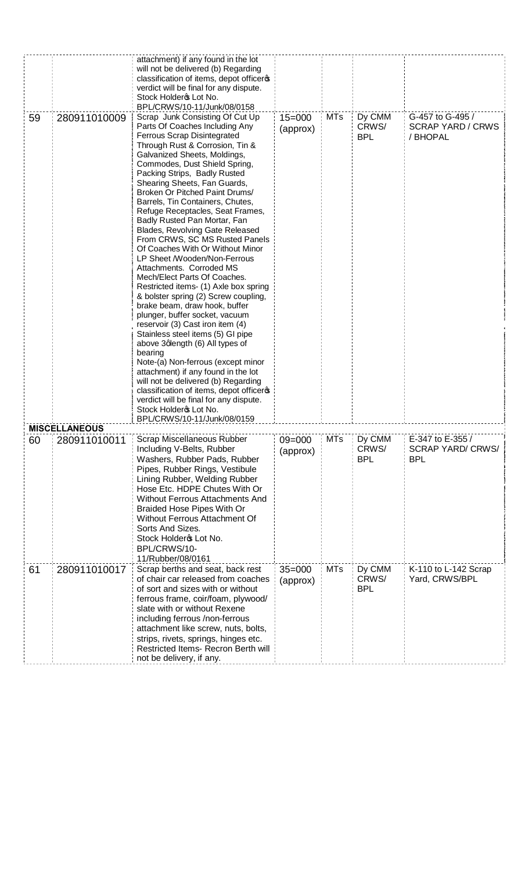|    |                                      | attachment) if any found in the lot<br>will not be delivered (b) Regarding<br>classification of items, depot officeros<br>verdict will be final for any dispute.<br>Stock Holdero Lot No.<br>BPL/CRWS/10-11/Junk/08/0158                                                                                                                                                                                                                                                                                                                                                                                                                                                                                                                                                                                                                                                                                                                                                                                                                                                                                                                                         |                        |            |                               |                                                          |
|----|--------------------------------------|------------------------------------------------------------------------------------------------------------------------------------------------------------------------------------------------------------------------------------------------------------------------------------------------------------------------------------------------------------------------------------------------------------------------------------------------------------------------------------------------------------------------------------------------------------------------------------------------------------------------------------------------------------------------------------------------------------------------------------------------------------------------------------------------------------------------------------------------------------------------------------------------------------------------------------------------------------------------------------------------------------------------------------------------------------------------------------------------------------------------------------------------------------------|------------------------|------------|-------------------------------|----------------------------------------------------------|
| 59 | 280911010009<br><b>MISCELLANEOUS</b> | Scrap Junk Consisting Of Cut Up<br>Parts Of Coaches Including Any<br>Ferrous Scrap Disintegrated<br>Through Rust & Corrosion, Tin &<br>Galvanized Sheets, Moldings,<br>Commodes, Dust Shield Spring,<br>Packing Strips, Badly Rusted<br>Shearing Sheets, Fan Guards,<br>Broken Or Pitched Paint Drums/<br>Barrels, Tin Containers, Chutes,<br>Refuge Receptacles, Seat Frames,<br>Badly Rusted Pan Mortar, Fan<br>Blades, Revolving Gate Released<br>From CRWS, SC MS Rusted Panels<br>Of Coaches With Or Without Minor<br>LP Sheet /Wooden/Non-Ferrous<br>Attachments. Corroded MS<br>Mech/Elect Parts Of Coaches.<br>Restricted items- (1) Axle box spring<br>& bolster spring (2) Screw coupling,<br>brake beam, draw hook, buffer<br>plunger, buffer socket, vacuum<br>reservoir (3) Cast iron item (4)<br>Stainless steel items (5) GI pipe<br>above 3qlength (6) All types of<br>bearing<br>Note-(a) Non-ferrous (except minor<br>attachment) if any found in the lot<br>will not be delivered (b) Regarding<br>classification of items, depot officeros<br>verdict will be final for any dispute.<br>Stock Holdero Lot No.<br>BPL/CRWS/10-11/Junk/08/0159 | $15 = 000$<br>(approx) | <b>MTs</b> | Dy CMM<br>CRWS/<br><b>BPL</b> | G-457 to G-495 /<br><b>SCRAP YARD / CRWS</b><br>/ BHOPAL |
| 60 | 280911010011                         | Scrap Miscellaneous Rubber                                                                                                                                                                                                                                                                                                                                                                                                                                                                                                                                                                                                                                                                                                                                                                                                                                                                                                                                                                                                                                                                                                                                       | $09 = 000$             | <b>MTs</b> | Dy CMM                        | E-347 to E-355 /                                         |
|    |                                      | Including V-Belts, Rubber<br>Washers, Rubber Pads, Rubber<br>Pipes, Rubber Rings, Vestibule<br>Lining Rubber, Welding Rubber<br>Hose Etc. HDPE Chutes With Or<br><b>Without Ferrous Attachments And</b><br>Braided Hose Pipes With Or<br>Without Ferrous Attachment Of<br>Sorts And Sizes.<br>Stock Holdero Lot No.<br>BPL/CRWS/10-<br>11/Rubber/08/0161                                                                                                                                                                                                                                                                                                                                                                                                                                                                                                                                                                                                                                                                                                                                                                                                         | (approx)               |            | CRWS/<br><b>BPL</b>           | <b>SCRAP YARD/ CRWS/</b><br><b>BPL</b>                   |
| 61 | 280911010017                         | Scrap berths and seat, back rest<br>of chair car released from coaches<br>of sort and sizes with or without<br>ferrous frame, coir/foam, plywood/<br>slate with or without Rexene<br>including ferrous /non-ferrous<br>attachment like screw, nuts, bolts,<br>strips, rivets, springs, hinges etc.<br>Restricted Items- Recron Berth will<br>not be delivery, if any.                                                                                                                                                                                                                                                                                                                                                                                                                                                                                                                                                                                                                                                                                                                                                                                            | $35 = 000$<br>(approx) | <b>MTs</b> | Dy CMM<br>CRWS/<br><b>BPL</b> | K-110 to L-142 Scrap<br>Yard, CRWS/BPL                   |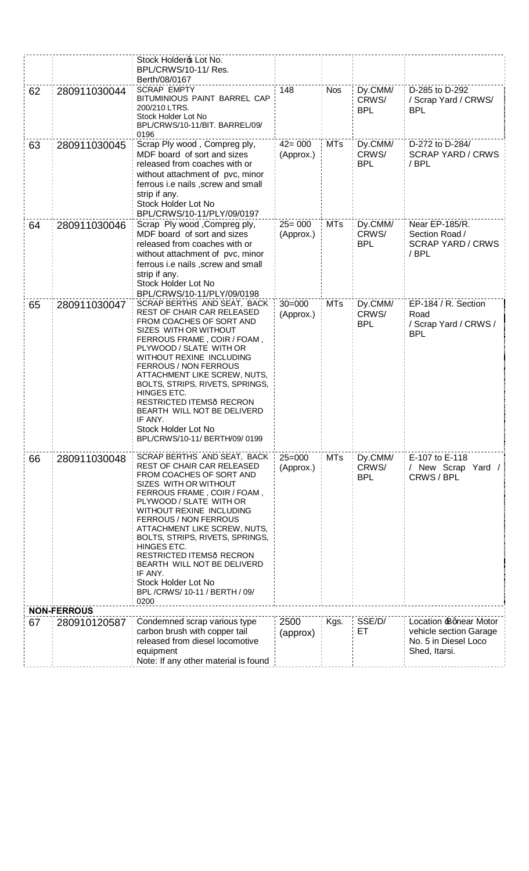|                      | Stock Holder & Lot No. |                                                                        |                         |            |                  |                                        |
|----------------------|------------------------|------------------------------------------------------------------------|-------------------------|------------|------------------|----------------------------------------|
| BPL/CRWS/10-11/ Res. |                        |                                                                        |                         |            |                  |                                        |
|                      |                        | Berth/08/0167                                                          |                         |            |                  |                                        |
| 62                   | 280911030044           | <b>SCRAP EMPTY</b><br>BITUMINIOUS PAINT BARREL CAP                     | 148                     | <b>Nos</b> | Dy.CMM/<br>CRWS/ | D-285 to D-292<br>/ Scrap Yard / CRWS/ |
|                      |                        | 200/210 LTRS.                                                          |                         |            | <b>BPL</b>       | <b>BPL</b>                             |
|                      |                        | Stock Holder Lot No                                                    |                         |            |                  |                                        |
|                      |                        | BPL/CRWS/10-11/BIT. BARREL/09/<br>0196                                 |                         |            |                  |                                        |
| 63                   | 280911030045           | Scrap Ply wood, Compreg ply,                                           | $42 = 000$              | <b>MTs</b> | Dy.CMM/          | D-272 to D-284/                        |
|                      |                        | MDF board of sort and sizes                                            | (Approx.)               |            | CRWS/            | <b>SCRAP YARD / CRWS</b>               |
|                      |                        | released from coaches with or                                          |                         |            | <b>BPL</b>       | / BPL                                  |
|                      |                        | without attachment of pvc, minor<br>ferrous i.e nails, screw and small |                         |            |                  |                                        |
|                      |                        | strip if any.                                                          |                         |            |                  |                                        |
|                      |                        | Stock Holder Lot No                                                    |                         |            |                  |                                        |
|                      |                        | BPL/CRWS/10-11/PLY/09/0197                                             |                         |            |                  |                                        |
| 64                   | 280911030046           | Scrap Ply wood, Compreg ply,                                           | $25 = 000$              | <b>MTs</b> | Dy.CMM/          | Near EP-185/R.                         |
|                      |                        | MDF board of sort and sizes                                            | (Approx.)               |            | CRWS/            | Section Road /                         |
|                      |                        | released from coaches with or<br>without attachment of pvc, minor      |                         |            | <b>BPL</b>       | <b>SCRAP YARD / CRWS</b><br>/ BPL      |
|                      |                        | ferrous i.e nails, screw and small                                     |                         |            |                  |                                        |
|                      |                        | strip if any.                                                          |                         |            |                  |                                        |
|                      |                        | Stock Holder Lot No                                                    |                         |            |                  |                                        |
|                      |                        | BPL/CRWS/10-11/PLY/09/0198<br>SCRAP BERTHS AND SEAT, BACK              |                         |            |                  |                                        |
| 65                   | 280911030047           | REST OF CHAIR CAR RELEASED                                             | $30 = 000$<br>(Approx.) | <b>MTs</b> | Dy.CMM/<br>CRWS/ | EP-184 / R. Section<br>Road            |
|                      |                        | FROM COACHES OF SORT AND                                               |                         |            | <b>BPL</b>       | / Scrap Yard / CRWS /                  |
|                      |                        | SIZES WITH OR WITHOUT                                                  |                         |            |                  | <b>BPL</b>                             |
|                      |                        | FERROUS FRAME, COIR / FOAM,<br>PLYWOOD / SLATE WITH OR                 |                         |            |                  |                                        |
|                      |                        | WITHOUT REXINE INCLUDING                                               |                         |            |                  |                                        |
|                      |                        | FERROUS / NON FERROUS<br>ATTACHMENT LIKE SCREW, NUTS,                  |                         |            |                  |                                        |
|                      |                        | BOLTS, STRIPS, RIVETS, SPRINGS,                                        |                         |            |                  |                                        |
|                      |                        | HINGES ETC.                                                            |                         |            |                  |                                        |
|                      |                        | RESTRICTED ITEMS RECRON<br>BEARTH WILL NOT BE DELIVERD                 |                         |            |                  |                                        |
|                      |                        | IF ANY.                                                                |                         |            |                  |                                        |
|                      |                        | Stock Holder Lot No                                                    |                         |            |                  |                                        |
|                      |                        | BPL/CRWS/10-11/ BERTH/09/ 0199                                         |                         |            |                  |                                        |
| 66                   | 280911030048           | SCRAP BERTHS AND SEAT, BACK                                            | $25 = 000$              | <b>MTs</b> | Dy.CMM/          | E-107 to E-118                         |
|                      |                        | REST OF CHAIR CAR RELEASED                                             | (Approx.)               |            | CRWS/            | / New Scrap Yard /                     |
|                      |                        | FROM COACHES OF SORT AND                                               |                         |            | <b>BPL</b>       | CRWS / BPL                             |
|                      |                        | SIZES WITH OR WITHOUT<br>FERROUS FRAME, COIR / FOAM,                   |                         |            |                  |                                        |
|                      |                        | PLYWOOD / SLATE WITH OR                                                |                         |            |                  |                                        |
|                      |                        | WITHOUT REXINE INCLUDING                                               |                         |            |                  |                                        |
|                      |                        | FERROUS / NON FERROUS<br>ATTACHMENT LIKE SCREW, NUTS,                  |                         |            |                  |                                        |
|                      |                        | BOLTS, STRIPS, RIVETS, SPRINGS,                                        |                         |            |                  |                                        |
|                      |                        | HINGES ETC.                                                            |                         |            |                  |                                        |
|                      |                        | RESTRICTED ITEMS RECRON<br>BEARTH WILL NOT BE DELIVERD                 |                         |            |                  |                                        |
|                      |                        | IF ANY.                                                                |                         |            |                  |                                        |
|                      |                        | Stock Holder Lot No                                                    |                         |            |                  |                                        |
|                      |                        | BPL /CRWS/ 10-11 / BERTH / 09/<br>0200                                 |                         |            |                  |                                        |
| <b>NON-FERROUS</b>   |                        |                                                                        |                         |            |                  |                                        |
| 67                   | 280910120587           | Condemned scrap various type                                           | 2500                    | Kgs.       | SSE/D/           | Location Bqnear Motor                  |
|                      |                        | carbon brush with copper tail                                          | (approx)                |            | ET.              | vehicle section Garage                 |
|                      |                        | released from diesel locomotive                                        |                         |            |                  | No. 5 in Diesel Loco                   |
|                      |                        | equipment<br>Note: If any other material is found                      |                         |            |                  | Shed, Itarsi.                          |
|                      |                        |                                                                        |                         |            |                  |                                        |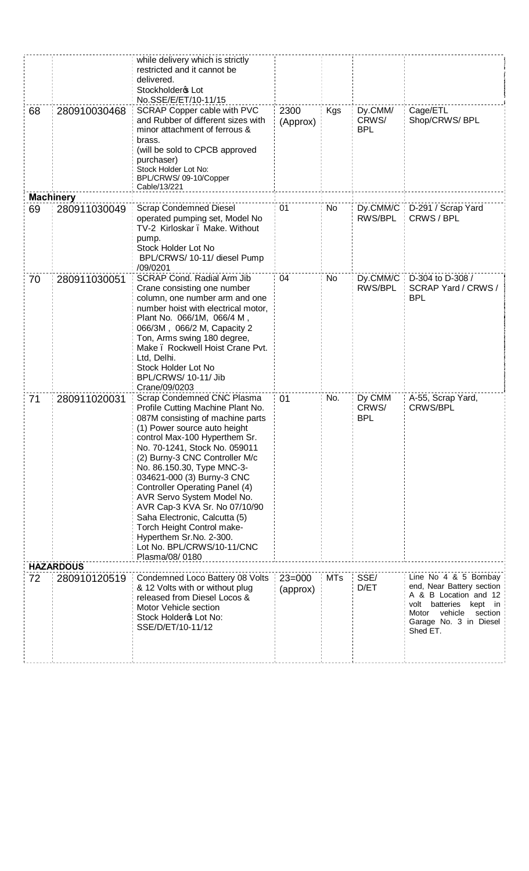| 68 | 280910030468                     | while delivery which is strictly<br>restricted and it cannot be<br>delivered.<br>Stockholder & Lot<br>No.SSE/E/ET/10-11/15<br>SCRAP Copper cable with PVC<br>and Rubber of different sizes with<br>minor attachment of ferrous &<br>brass.<br>(will be sold to CPCB approved<br>purchaser)<br>Stock Holder Lot No:<br>BPL/CRWS/ 09-10/Copper<br>Cable/13/221                                                                                                                                                                                          | 2300<br>(Approx) | Kgs        | Dy.CMM/<br>CRWS/<br><b>BPL</b> | Cage/ETL<br>Shop/CRWS/BPL                                                                                                                            |
|----|----------------------------------|-------------------------------------------------------------------------------------------------------------------------------------------------------------------------------------------------------------------------------------------------------------------------------------------------------------------------------------------------------------------------------------------------------------------------------------------------------------------------------------------------------------------------------------------------------|------------------|------------|--------------------------------|------------------------------------------------------------------------------------------------------------------------------------------------------|
|    | <b>Machinery</b>                 |                                                                                                                                                                                                                                                                                                                                                                                                                                                                                                                                                       |                  |            |                                |                                                                                                                                                      |
| 69 | 280911030049                     | <b>Scrap Condemned Diesel</b><br>operated pumping set, Model No<br>TV-2 Kirloskar . Make. Without<br>pump.<br>Stock Holder Lot No<br>BPL/CRWS/ 10-11/ diesel Pump<br>/09/0201                                                                                                                                                                                                                                                                                                                                                                         | 01               | <b>No</b>  | Dy.CMM/C<br>RWS/BPL            | D-291 / Scrap Yard<br>CRWS / BPL                                                                                                                     |
| 70 | 280911030051                     | SCRAP Cond. Radial Arm Jib<br>Crane consisting one number<br>column, one number arm and one<br>number hoist with electrical motor,<br>Plant No. 066/1M, 066/4 M,<br>066/3M, 066/2 M, Capacity 2<br>Ton, Arms swing 180 degree,<br>Make . Rockwell Hoist Crane Pvt.<br>Ltd, Delhi.<br>Stock Holder Lot No<br>BPL/CRWS/ 10-11/ Jib<br>Crane/09/0203                                                                                                                                                                                                     | 04               | No         | Dy.CMM/C<br>RWS/BPL            | D-304 to D-308 /<br>SCRAP Yard / CRWS /<br><b>BPL</b>                                                                                                |
| 71 | 280911020031<br><b>HAZARDOUS</b> | Scrap Condemned CNC Plasma<br>Profile Cutting Machine Plant No.<br>087M consisting of machine parts<br>(1) Power source auto height<br>control Max-100 Hyperthem Sr.<br>No. 70-1241, Stock No. 059011<br>(2) Burny-3 CNC Controller M/c<br>No. 86.150.30, Type MNC-3-<br>034621-000 (3) Burny-3 CNC<br><b>Controller Operating Panel (4)</b><br>AVR Servo System Model No.<br>AVR Cap-3 KVA Sr. No 07/10/90<br>Saha Electronic, Calcutta (5)<br>Torch Height Control make-<br>Hyperthem Sr.No. 2-300.<br>Lot No. BPL/CRWS/10-11/CNC<br>Plasma/08/0180 | 01               | No.        | Dy CMM<br>CRWS/<br><b>BPL</b>  | A-55, Scrap Yard,<br><b>CRWS/BPL</b>                                                                                                                 |
|    |                                  | Condemned Loco Battery 08 Volts                                                                                                                                                                                                                                                                                                                                                                                                                                                                                                                       | $23 = 000$       | <b>MTs</b> | SSE/                           | Line No 4 & 5 Bombay                                                                                                                                 |
| 72 | 280910120519                     | & 12 Volts with or without plug<br>released from Diesel Locos &<br>Motor Vehicle section<br>Stock Holder & Lot No:<br>SSE/D/ET/10-11/12                                                                                                                                                                                                                                                                                                                                                                                                               | (approx)         |            | D/ET                           | end, Near Battery section<br>A & B Location and 12<br>volt batteries<br>kept in<br>Motor<br>vehicle<br>section<br>Garage No. 3 in Diesel<br>Shed ET. |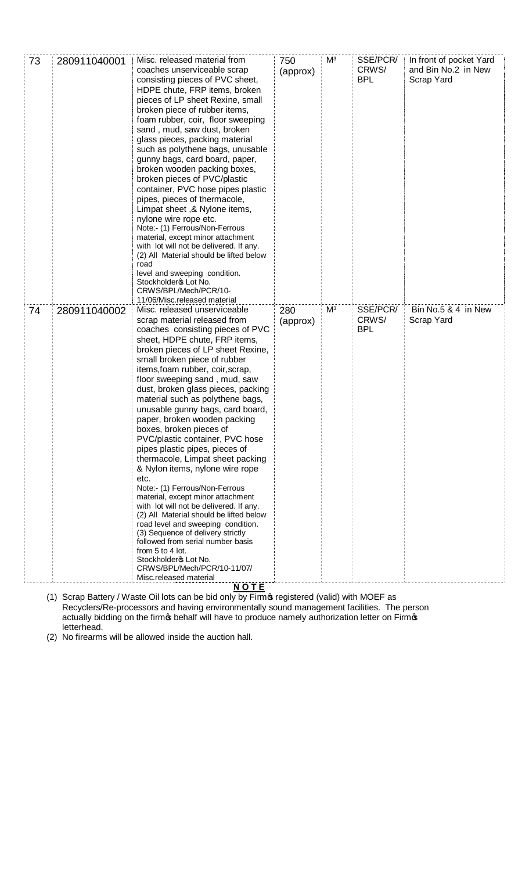| 73<br>280911040001 | Misc. released material from<br>coaches unserviceable scrap<br>consisting pieces of PVC sheet,<br>HDPE chute, FRP items, broken<br>pieces of LP sheet Rexine, small<br>broken piece of rubber items,<br>foam rubber, coir, floor sweeping<br>sand, mud, saw dust, broken<br>glass pieces, packing material<br>such as polythene bags, unusable<br>gunny bags, card board, paper,<br>broken wooden packing boxes,<br>broken pieces of PVC/plastic<br>container, PVC hose pipes plastic<br>pipes, pieces of thermacole,<br>Limpat sheet, & Nylone items,<br>nylone wire rope etc.<br>Note:- (1) Ferrous/Non-Ferrous<br>material, except minor attachment<br>with lot will not be delivered. If any.<br>(2) All Material should be lifted below<br>road<br>level and sweeping condition.<br>Stockholder & Lot No.<br>CRWS/BPL/Mech/PCR/10-                                                                                                                                                            | 750<br>(approx) | M <sup>3</sup> | SSE/PCR/<br>CRWS/<br><b>BPL</b> | In front of pocket Yard<br>and Bin No.2 in New<br><b>Scrap Yard</b> |
|--------------------|----------------------------------------------------------------------------------------------------------------------------------------------------------------------------------------------------------------------------------------------------------------------------------------------------------------------------------------------------------------------------------------------------------------------------------------------------------------------------------------------------------------------------------------------------------------------------------------------------------------------------------------------------------------------------------------------------------------------------------------------------------------------------------------------------------------------------------------------------------------------------------------------------------------------------------------------------------------------------------------------------|-----------------|----------------|---------------------------------|---------------------------------------------------------------------|
|                    | 11/06/Misc.released material                                                                                                                                                                                                                                                                                                                                                                                                                                                                                                                                                                                                                                                                                                                                                                                                                                                                                                                                                                       |                 |                |                                 |                                                                     |
| 280911040002<br>74 | Misc. released unserviceable<br>scrap material released from<br>coaches consisting pieces of PVC<br>sheet, HDPE chute, FRP items,<br>broken pieces of LP sheet Rexine,<br>small broken piece of rubber<br>items, foam rubber, coir, scrap,<br>floor sweeping sand, mud, saw<br>dust, broken glass pieces, packing<br>material such as polythene bags,<br>unusable gunny bags, card board,<br>paper, broken wooden packing<br>boxes, broken pieces of<br>PVC/plastic container, PVC hose<br>pipes plastic pipes, pieces of<br>thermacole, Limpat sheet packing<br>& Nylon items, nylone wire rope<br>etc.<br>Note:- (1) Ferrous/Non-Ferrous<br>material, except minor attachment<br>with lot will not be delivered. If any.<br>(2) All Material should be lifted below<br>road level and sweeping condition.<br>(3) Sequence of delivery strictly<br>followed from serial number basis<br>from 5 to 4 lot.<br>Stockholdero Lot No.<br>CRWS/BPL/Mech/PCR/10-11/07/<br>Misc.released material<br>NOTE | 280<br>(approx) | M <sup>3</sup> | SSE/PCR/<br>CRWS/<br><b>BPL</b> | Bin No.5 & 4 in New<br>Scrap Yard                                   |

(1) Scrap Battery / Waste Oil lots can be bid only by Firm of registered (valid) with MOEF as Recyclers/Re-processors and having environmentally sound management facilities. The person actually bidding on the firmos behalf will have to produce namely authorization letter on Firmos letterhead.

(2) No firearms will be allowed inside the auction hall.